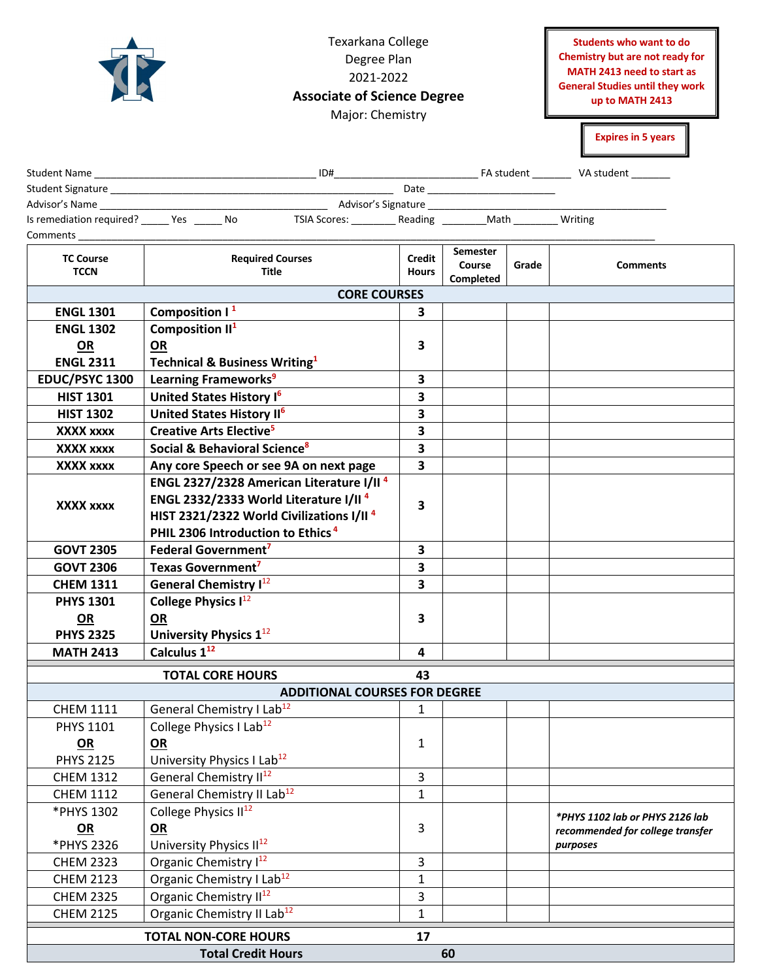|                                   | Students who want to do<br>Chemistry but are not ready for<br>MATH 2413 need to start as<br><b>General Studies until they work</b><br>up to MATH 2413<br><b>Expires in 5 years</b> |               |           |       |                                  |  |  |
|-----------------------------------|------------------------------------------------------------------------------------------------------------------------------------------------------------------------------------|---------------|-----------|-------|----------------------------------|--|--|
|                                   |                                                                                                                                                                                    |               |           |       |                                  |  |  |
|                                   |                                                                                                                                                                                    |               |           |       |                                  |  |  |
|                                   |                                                                                                                                                                                    |               |           |       |                                  |  |  |
|                                   | Is remediation required? ______ Yes ______ No TSIA Scores: _________ Reading _________ Math ________ Writing                                                                       |               |           |       |                                  |  |  |
| <b>Comments</b>                   |                                                                                                                                                                                    |               |           |       |                                  |  |  |
| <b>TC Course</b>                  | <b>Required Courses</b>                                                                                                                                                            | <b>Credit</b> | Semester  |       |                                  |  |  |
| <b>TCCN</b>                       | Title                                                                                                                                                                              | <b>Hours</b>  | Course    | Grade | <b>Comments</b>                  |  |  |
|                                   | <b>CORE COURSES</b>                                                                                                                                                                |               | Completed |       |                                  |  |  |
| <b>ENGL 1301</b>                  | Composition $1^1$                                                                                                                                                                  | 3.            |           |       |                                  |  |  |
| <b>ENGL 1302</b>                  | Composition II <sup>1</sup>                                                                                                                                                        |               |           |       |                                  |  |  |
| <b>OR</b>                         | OR                                                                                                                                                                                 | 3             |           |       |                                  |  |  |
| <b>ENGL 2311</b>                  | <b>Technical &amp; Business Writing1</b>                                                                                                                                           |               |           |       |                                  |  |  |
| EDUC/PSYC 1300                    | Learning Frameworks <sup>9</sup>                                                                                                                                                   | 3             |           |       |                                  |  |  |
| <b>HIST 1301</b>                  | United States History I <sup>6</sup>                                                                                                                                               | 3             |           |       |                                  |  |  |
| <b>HIST 1302</b>                  | United States History II <sup>6</sup>                                                                                                                                              | 3             |           |       |                                  |  |  |
| XXXX xxxx                         | Creative Arts Elective <sup>5</sup>                                                                                                                                                | 3             |           |       |                                  |  |  |
| <b>XXXX XXXX</b>                  | Social & Behavioral Science <sup>8</sup>                                                                                                                                           | 3             |           |       |                                  |  |  |
| XXXX xxxx                         | Any core Speech or see 9A on next page                                                                                                                                             | 3             |           |       |                                  |  |  |
|                                   | ENGL 2327/2328 American Literature I/II <sup>4</sup>                                                                                                                               |               |           |       |                                  |  |  |
| XXXX xxxx                         | ENGL 2332/2333 World Literature I/II <sup>4</sup>                                                                                                                                  | 3             |           |       |                                  |  |  |
|                                   | HIST 2321/2322 World Civilizations I/II <sup>4</sup>                                                                                                                               |               |           |       |                                  |  |  |
|                                   | PHIL 2306 Introduction to Ethics <sup>4</sup>                                                                                                                                      |               |           |       |                                  |  |  |
| <b>GOVT 2305</b>                  | Federal Government <sup>7</sup>                                                                                                                                                    | 3             |           |       |                                  |  |  |
| <b>GOVT 2306</b>                  | Texas Government <sup>7</sup>                                                                                                                                                      | 3             |           |       |                                  |  |  |
| <b>CHEM 1311</b>                  | <b>General Chemistry I</b> <sup>12</sup>                                                                                                                                           | 3             |           |       |                                  |  |  |
| <b>PHYS 1301</b>                  | College Physics I <sup>12</sup>                                                                                                                                                    |               |           |       |                                  |  |  |
| <b>OR</b>                         | <b>OR</b>                                                                                                                                                                          | 3             |           |       |                                  |  |  |
| <b>PHYS 2325</b>                  | University Physics 1 <sup>12</sup>                                                                                                                                                 |               |           |       |                                  |  |  |
| <b>MATH 2413</b>                  | Calculus 1 <sup>12</sup>                                                                                                                                                           | 4             |           |       |                                  |  |  |
|                                   | <b>TOTAL CORE HOURS</b>                                                                                                                                                            | 43            |           |       |                                  |  |  |
|                                   | <b>ADDITIONAL COURSES FOR DEGREE</b>                                                                                                                                               |               |           |       |                                  |  |  |
| <b>CHEM 1111</b>                  | General Chemistry I Lab <sup>12</sup>                                                                                                                                              | 1             |           |       |                                  |  |  |
| <b>PHYS 1101</b>                  | College Physics I Lab <sup>12</sup>                                                                                                                                                |               |           |       |                                  |  |  |
| OR                                | OR                                                                                                                                                                                 | 1             |           |       |                                  |  |  |
| <b>PHYS 2125</b>                  | University Physics I Lab <sup>12</sup>                                                                                                                                             |               |           |       |                                  |  |  |
| <b>CHEM 1312</b>                  | General Chemistry II <sup>12</sup>                                                                                                                                                 | 3             |           |       |                                  |  |  |
| <b>CHEM 1112</b>                  | General Chemistry II Lab <sup>12</sup>                                                                                                                                             | 1             |           |       |                                  |  |  |
| *PHYS 1302                        | College Physics II <sup>12</sup>                                                                                                                                                   |               |           |       | *PHYS 1102 lab or PHYS 2126 lab  |  |  |
| OR                                | OR                                                                                                                                                                                 | 3             |           |       | recommended for college transfer |  |  |
| *PHYS 2326                        | University Physics II <sup>12</sup>                                                                                                                                                |               |           |       | purposes                         |  |  |
| <b>CHEM 2323</b>                  | Organic Chemistry I <sup>12</sup>                                                                                                                                                  | 3             |           |       |                                  |  |  |
| <b>CHEM 2123</b>                  | Organic Chemistry I Lab <sup>12</sup>                                                                                                                                              | $\mathbf{1}$  |           |       |                                  |  |  |
| <b>CHEM 2325</b>                  | Organic Chemistry II <sup>12</sup>                                                                                                                                                 | 3             |           |       |                                  |  |  |
| <b>CHEM 2125</b>                  | Organic Chemistry II Lab <sup>12</sup>                                                                                                                                             | $\mathbf{1}$  |           |       |                                  |  |  |
| <b>TOTAL NON-CORE HOURS</b><br>17 |                                                                                                                                                                                    |               |           |       |                                  |  |  |
|                                   | <b>Total Credit Hours</b>                                                                                                                                                          |               | 60        |       |                                  |  |  |